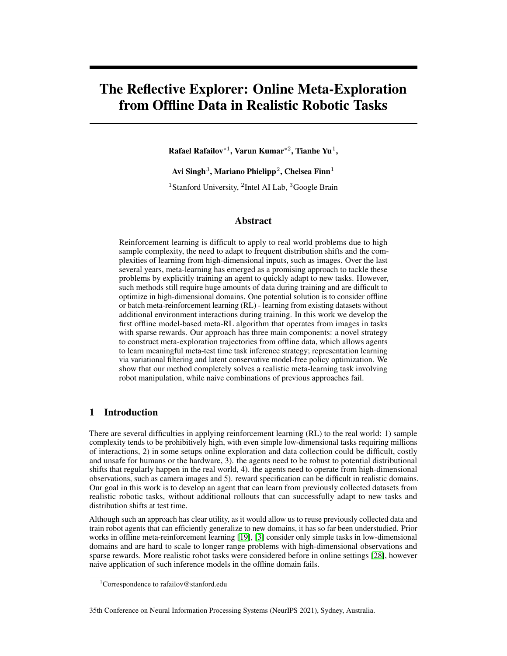# The Reflective Explorer: Online Meta-Exploration from Offline Data in Realistic Robotic Tasks

Rafael Rafailov $^{\ast1}$ , Varun Kumar $^{\ast2}$ , Tianhe Yu $^1$ ,

Avi Singh $^3$ , Mariano Phielipp $^2$ , Chelsea Finn $^1$ 

<sup>1</sup>Stanford University, <sup>2</sup>Intel AI Lab, <sup>3</sup>Google Brain

# Abstract

Reinforcement learning is difficult to apply to real world problems due to high sample complexity, the need to adapt to frequent distribution shifts and the complexities of learning from high-dimensional inputs, such as images. Over the last several years, meta-learning has emerged as a promising approach to tackle these problems by explicitly training an agent to quickly adapt to new tasks. However, such methods still require huge amounts of data during training and are difficult to optimize in high-dimensional domains. One potential solution is to consider offline or batch meta-reinforcement learning (RL) - learning from existing datasets without additional environment interactions during training. In this work we develop the first offline model-based meta-RL algorithm that operates from images in tasks with sparse rewards. Our approach has three main components: a novel strategy to construct meta-exploration trajectories from offline data, which allows agents to learn meaningful meta-test time task inference strategy; representation learning via variational filtering and latent conservative model-free policy optimization. We show that our method completely solves a realistic meta-learning task involving robot manipulation, while naive combinations of previous approaches fail.

# 1 Introduction

There are several difficulties in applying reinforcement learning (RL) to the real world: 1) sample complexity tends to be prohibitively high, with even simple low-dimensional tasks requiring millions of interactions, 2) in some setups online exploration and data collection could be difficult, costly and unsafe for humans or the hardware, 3). the agents need to be robust to potential distributional shifts that regularly happen in the real world, 4). the agents need to operate from high-dimensional observations, such as camera images and 5). reward specification can be difficult in realistic domains. Our goal in this work is to develop an agent that can learn from previously collected datasets from realistic robotic tasks, without additional rollouts that can successfully adapt to new tasks and distribution shifts at test time.

Although such an approach has clear utility, as it would allow us to reuse previously collected data and train robot agents that can efficiently generalize to new domains, it has so far been understudied. Prior works in offline meta-reinforcement learning [\[19\]](#page-7-0), [\[3\]](#page-6-0) consider only simple tasks in low-dimensional domains and are hard to scale to longer range problems with high-dimensional observations and sparse rewards. More realistic robot tasks were considered before in online settings [\[28\]](#page-7-1), however naive application of such inference models in the offline domain fails.

35th Conference on Neural Information Processing Systems (NeurIPS 2021), Sydney, Australia.

<sup>&</sup>lt;sup>1</sup>Correspondence to rafailov@stanford.edu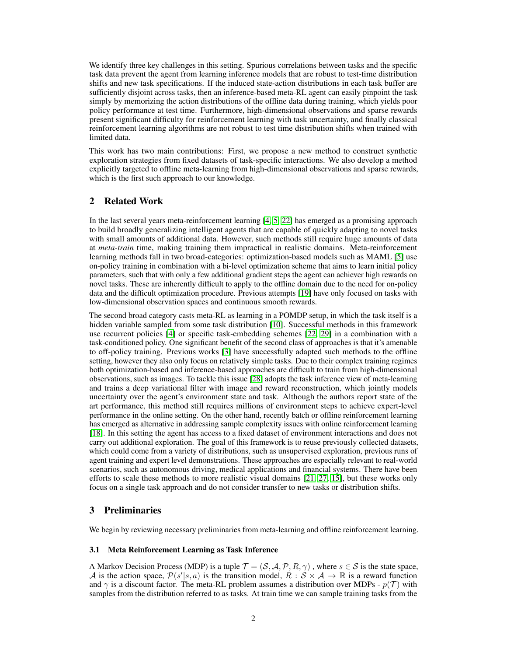We identify three key challenges in this setting. Spurious correlations between tasks and the specific task data prevent the agent from learning inference models that are robust to test-time distribution shifts and new task specifications. If the induced state-action distributions in each task buffer are sufficiently disjoint across tasks, then an inference-based meta-RL agent can easily pinpoint the task simply by memorizing the action distributions of the offline data during training, which yields poor policy performance at test time. Furthermore, high-dimensional observations and sparse rewards present significant difficulty for reinforcement learning with task uncertainty, and finally classical reinforcement learning algorithms are not robust to test time distribution shifts when trained with limited data.

This work has two main contributions: First, we propose a new method to construct synthetic exploration strategies from fixed datasets of task-specific interactions. We also develop a method explicitly targeted to offline meta-learning from high-dimensional observations and sparse rewards, which is the first such approach to our knowledge.

# 2 Related Work

In the last several years meta-reinforcement learning [\[4,](#page-6-1) [5,](#page-6-2) [22\]](#page-7-2) has emerged as a promising approach to build broadly generalizing intelligent agents that are capable of quickly adapting to novel tasks with small amounts of additional data. However, such methods still require huge amounts of data at *meta-train* time, making training them impractical in realistic domains. Meta-reinforcement learning methods fall in two broad-categories: optimization-based models such as MAML [\[5\]](#page-6-2) use on-policy training in combination with a bi-level optimization scheme that aims to learn initial policy parameters, such that with only a few additional gradient steps the agent can achiever high rewards on novel tasks. These are inherently difficult to apply to the offline domain due to the need for on-policy data and the difficult optimization procedure. Previous attempts [\[19\]](#page-7-0) have only focused on tasks with low-dimensional observation spaces and continuous smooth rewards.

The second broad category casts meta-RL as learning in a POMDP setup, in which the task itself is a hidden variable sampled from some task distribution [\[10\]](#page-7-3). Successful methods in this framework use recurrent policies [\[4\]](#page-6-1) or specific task-embedding schemes [\[22,](#page-7-2) [29\]](#page-7-4) in a combination with a task-conditioned policy. One significant benefit of the second class of approaches is that it's amenable to off-policy training. Previous works [\[3\]](#page-6-0) have successfully adapted such methods to the offline setting, however they also only focus on relatively simple tasks. Due to their complex training regimes both optimization-based and inference-based approaches are difficult to train from high-dimensional observations, such as images. To tackle this issue [\[28\]](#page-7-1) adopts the task inference view of meta-learning and trains a deep variational filter with image and reward reconstruction, which jointly models uncertainty over the agent's environment state and task. Although the authors report state of the art performance, this method still requires millions of environment steps to achieve expert-level performance in the online setting. On the other hand, recently batch or offline reinforcement learning has emerged as alternative in addressing sample complexity issues with online reinforcement learning [\[18\]](#page-7-5). In this setting the agent has access to a fixed dataset of environment interactions and does not carry out additional exploration. The goal of this framework is to reuse previously collected datasets, which could come from a variety of distributions, such as unsupervised exploration, previous runs of agent training and expert level demonstrations. These approaches are especially relevant to real-world scenarios, such as autonomous driving, medical applications and financial systems. There have been efforts to scale these methods to more realistic visual domains [\[21,](#page-7-6) [27,](#page-7-7) [15\]](#page-7-8), but these works only focus on a single task approach and do not consider transfer to new tasks or distribution shifts.

# 3 Preliminaries

We begin by reviewing necessary preliminaries from meta-learning and offline reinforcement learning.

#### 3.1 Meta Reinforcement Learning as Task Inference

A Markov Decision Process (MDP) is a tuple  $\mathcal{T} = (\mathcal{S}, \mathcal{A}, \mathcal{P}, R, \gamma)$ , where  $s \in \mathcal{S}$  is the state space, A is the action space,  $\mathcal{P}(s'|s, a)$  is the transition model,  $R : S \times A \to \mathbb{R}$  is a reward function and  $\gamma$  is a discount factor. The meta-RL problem assumes a distribution over MDPs -  $p(\mathcal{T})$  with samples from the distribution referred to as tasks. At train time we can sample training tasks from the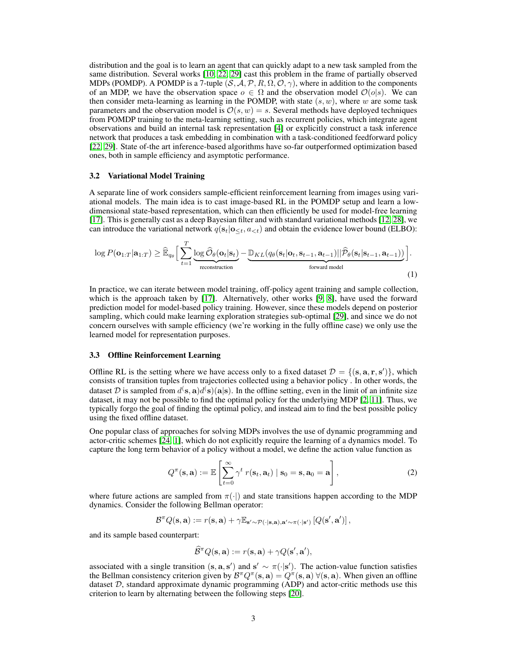distribution and the goal is to learn an agent that can quickly adapt to a new task sampled from the same distribution. Several works [\[10,](#page-7-3) [22,](#page-7-2) [29\]](#page-7-4) cast this problem in the frame of partially observed MDPs (POMDP). A POMDP is a 7-tuple  $(S, A, P, R, \Omega, O, \gamma)$ , where in addition to the components of an MDP, we have the observation space  $o \in \Omega$  and the observation model  $\mathcal{O}(o|s)$ . We can then consider meta-learning as learning in the POMDP, with state  $(s, w)$ , where w are some task parameters and the observation model is  $\mathcal{O}(s, w) = s$ . Several methods have deployed techniques from POMDP training to the meta-learning setting, such as recurrent policies, which integrate agent observations and build an internal task representation [\[4\]](#page-6-1) or explicitly construct a task inference network that produces a task embedding in combination with a task-conditioned feedforward policy [\[22,](#page-7-2) [29\]](#page-7-4). State of-the art inference-based algorithms have so-far outperformed optimization based ones, both in sample efficiency and asymptotic performance.

#### 3.2 Variational Model Training

A separate line of work considers sample-efficient reinforcement learning from images using variational models. The main idea is to cast image-based RL in the POMDP setup and learn a lowdimensional state-based representation, which can then efficiently be used for model-free learning [\[17\]](#page-7-9). This is generally cast as a deep Bayesian filter and with standard variational methods [\[12,](#page-7-10) [28\]](#page-7-1), we can introduce the variational network  $q(s_t|o_{\leq t}, a_{\leq t})$  and obtain the evidence lower bound (ELBO):

$$
\log P(\mathbf{o}_{1:T}|\mathbf{a}_{1:T}) \geq \widehat{\mathbb{E}}_{q_{\theta}} \Big[ \sum_{t=1}^{T} \underbrace{\log \widehat{\mathcal{O}}_{\theta}(\mathbf{o}_t|\mathbf{s}_t)}_{\text{reconstruction}} - \underbrace{\mathbb{D}_{KL}(q_{\theta}(\mathbf{s}_t|\mathbf{o}_t,\mathbf{s}_{t-1},\mathbf{a}_{t-1})||\widehat{\mathcal{P}}_{\theta}(\mathbf{s}_t|\mathbf{s}_{t-1},\mathbf{a}_{t-1}))}_{\text{forward model}} \Big].
$$
 (1)

In practice, we can iterate between model training, off-policy agent training and sample collection, which is the approach taken by [\[17\]](#page-7-9). Alternatively, other works [\[9,](#page-6-3) [8\]](#page-6-4), have used the forward prediction model for model-based policy training. However, since these models depend on posterior sampling, which could make learning exploration strategies sub-optimal [\[29\]](#page-7-4), and since we do not concern ourselves with sample efficiency (we're working in the fully offline case) we only use the learned model for representation purposes.

#### 3.3 Offline Reinforcement Learning

Offline RL is the setting where we have access only to a fixed dataset  $\mathcal{D} = \{(\mathbf{s}, \mathbf{a}, \mathbf{r}, \mathbf{s}')\}$ , which consists of transition tuples from trajectories collected using a behavior policy . In other words, the dataset D is sampled from  $d^{\rm (s, a)}d^{\rm (s)}(a|s)$ . In the offline setting, even in the limit of an infinite size dataset, it may not be possible to find the optimal policy for the underlying MDP [\[2,](#page-6-5) [11\]](#page-7-11). Thus, we typically forgo the goal of finding the optimal policy, and instead aim to find the best possible policy using the fixed offline dataset.

One popular class of approaches for solving MDPs involves the use of dynamic programming and actor-critic schemes [\[24,](#page-7-12) [1\]](#page-6-6), which do not explicitly require the learning of a dynamics model. To capture the long term behavior of a policy without a model, we define the action value function as

$$
Q^{\pi}(\mathbf{s}, \mathbf{a}) := \mathbb{E}\left[\sum_{t=0}^{\infty} \gamma^t r(\mathbf{s}_t, \mathbf{a}_t) \mid \mathbf{s}_0 = \mathbf{s}, \mathbf{a}_0 = \mathbf{a}\right],
$$
 (2)

where future actions are sampled from  $\pi(\cdot)$  and state transitions happen according to the MDP dynamics. Consider the following Bellman operator:

$$
\mathcal{B}^{\pi} Q(\mathbf{s}, \mathbf{a}) := r(\mathbf{s}, \mathbf{a}) + \gamma \mathbb{E}_{\mathbf{s}' \sim \mathcal{P}(\cdot | \mathbf{s}, \mathbf{a}), \mathbf{a}' \sim \pi(\cdot | \mathbf{s}')} \left[ Q(\mathbf{s}', \mathbf{a}') \right],
$$

and its sample based counterpart:

$$
\widehat{\mathcal{B}}^{\pi}Q(\mathbf{s}, \mathbf{a}) := r(\mathbf{s}, \mathbf{a}) + \gamma Q(\mathbf{s}', \mathbf{a}'),
$$

associated with a single transition  $(s, a, s')$  and  $s' \sim \pi(\cdot | s')$ . The action-value function satisfies the Bellman consistency criterion given by  $\mathcal{B}^{\pi}Q^{\pi}(\mathbf{s},\mathbf{a}) = Q^{\pi}(\mathbf{s},\mathbf{a}) \ \forall (\mathbf{s},\mathbf{a})$ . When given an offline dataset  $D$ , standard approximate dynamic programming (ADP) and actor-critic methods use this criterion to learn by alternating between the following steps [\[20\]](#page-7-13).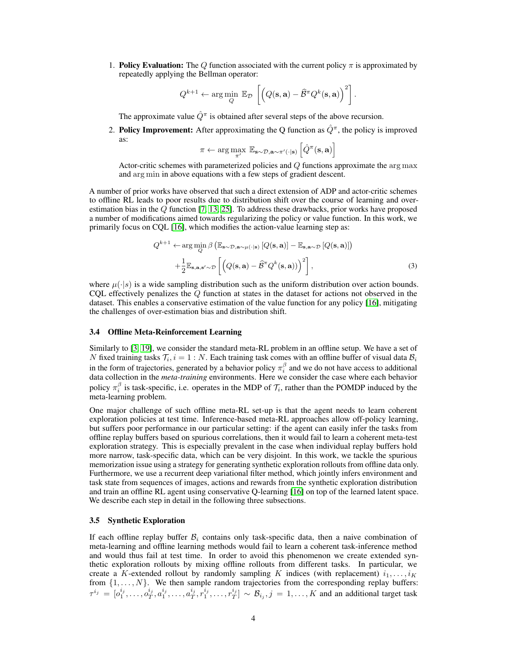1. **Policy Evaluation:** The Q function associated with the current policy  $\pi$  is approximated by repeatedly applying the Bellman operator:

$$
Q^{k+1} \leftarrow \arg\min_{Q} \ \mathbb{E}_{\mathcal{D}}\left[\left(Q(\mathbf{s}, \mathbf{a}) - \widehat{\mathcal{B}}^{\pi} Q^{k}(\mathbf{s}, \mathbf{a})\right)^2\right].
$$

The approximate value  $\hat{Q}^{\pi}$  is obtained after several steps of the above recursion.

2. Policy Improvement: After approximating the Q function as  $\hat{Q}^{\pi}$ , the policy is improved as:

<span id="page-3-0"></span>
$$
\pi \leftarrow \arg \max_{\pi'} \mathbb{E}_{\mathbf{s} \sim \mathcal{D}, \mathbf{a} \sim \pi'(\cdot | \mathbf{s})} \left[ \hat{Q}^{\pi}(\mathbf{s}, \mathbf{a}) \right]
$$

Actor-critic schemes with parameterized policies and Q functions approximate the arg max and arg min in above equations with a few steps of gradient descent.

A number of prior works have observed that such a direct extension of ADP and actor-critic schemes to offline RL leads to poor results due to distribution shift over the course of learning and overestimation bias in the Q function [\[7,](#page-6-7) [13,](#page-7-14) [25\]](#page-7-15). To address these drawbacks, prior works have proposed a number of modifications aimed towards regularizing the policy or value function. In this work, we primarily focus on CQL [\[16\]](#page-7-16), which modifies the action-value learning step as:

$$
Q^{k+1} \leftarrow \arg\min_{Q} \beta \left( \mathbb{E}_{\mathbf{s} \sim \mathcal{D}, \mathbf{a} \sim \mu(\cdot|\mathbf{s})} \left[ Q(\mathbf{s}, \mathbf{a}) \right] - \mathbb{E}_{\mathbf{s}, \mathbf{a} \sim \mathcal{D}} \left[ Q(\mathbf{s}, \mathbf{a}) \right] \right) + \frac{1}{2} \mathbb{E}_{\mathbf{s}, \mathbf{a}, \mathbf{s}' \sim \mathcal{D}} \left[ \left( Q(\mathbf{s}, \mathbf{a}) - \widehat{\mathcal{B}}^{\pi} Q^{k}(\mathbf{s}, \mathbf{a}) \right) \right)^{2} \right],
$$
(3)

where  $\mu(\cdot|s)$  is a wide sampling distribution such as the uniform distribution over action bounds. CQL effectively penalizes the Q function at states in the dataset for actions not observed in the dataset. This enables a conservative estimation of the value function for any policy [\[16\]](#page-7-16), mitigating the challenges of over-estimation bias and distribution shift.

#### 3.4 Offline Meta-Reinforcement Learning

Similarly to [\[3,](#page-6-0) [19\]](#page-7-0), we consider the standard meta-RL problem in an offline setup. We have a set of N fixed training tasks  $\mathcal{T}_i$ ,  $i = 1 : N$ . Each training task comes with an offline buffer of visual data  $\mathcal{B}_i$ in the form of trajectories, generated by a behavior policy  $\pi_i^{\beta}$  and we do not have access to additional data collection in the *meta-training* environments. Here we consider the case where each behavior policy  $\pi_i^{\beta}$  is task-specific, i.e. operates in the MDP of  $\mathcal{T}_i$ , rather than the POMDP induced by the meta-learning problem.

One major challenge of such offline meta-RL set-up is that the agent needs to learn coherent exploration policies at test time. Inference-based meta-RL approaches allow off-policy learning, but suffers poor performance in our particular setting: if the agent can easily infer the tasks from offline replay buffers based on spurious correlations, then it would fail to learn a coherent meta-test exploration strategy. This is especially prevalent in the case when individual replay buffers hold more narrow, task-specific data, which can be very disjoint. In this work, we tackle the spurious memorization issue using a strategy for generating synthetic exploration rollouts from offline data only. Furthermore, we use a recurrent deep variational filter method, which jointly infers environment and task state from sequences of images, actions and rewards from the synthetic exploration distribution and train an offline RL agent using conservative Q-learning [\[16\]](#page-7-16) on top of the learned latent space. We describe each step in detail in the following three subsections.

#### 3.5 Synthetic Exploration

If each offline replay buffer  $\mathcal{B}_i$  contains only task-specific data, then a naive combination of meta-learning and offline learning methods would fail to learn a coherent task-inference method and would thus fail at test time. In order to avoid this phenomenon we create extended synthetic exploration rollouts by mixing offline rollouts from different tasks. In particular, we create a K-extended rollout by randomly sampling K indices (with replacement)  $i_1, \ldots, i_K$ from  $\{1, \ldots, N\}$ . We then sample random trajectories from the corresponding replay buffers:  $\tau^{i_j} = [o_1^{i_j}, \dots, o_T^{i_j}, a_1^{i_j}, \dots, a_T^{i_j}, r_1^{i_j}, \dots, r_T^{i_j}] \sim \mathcal{B}_{i_j}, j = 1, \dots, K$  and an additional target task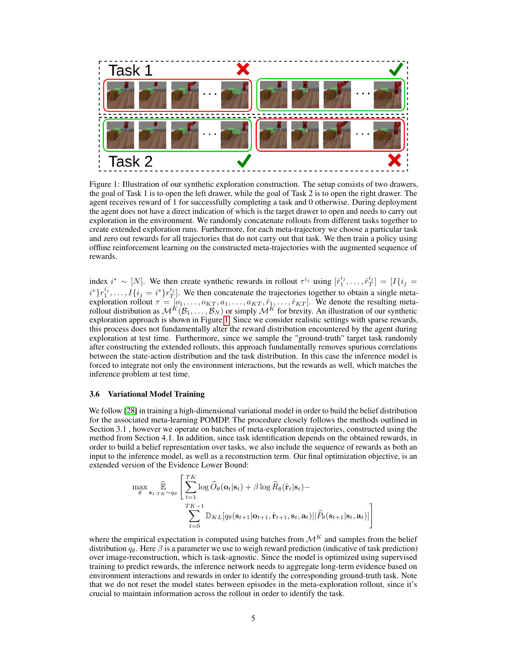

<span id="page-4-0"></span>Figure 1: Illustration of our synthetic exploration construction. The setup consists of two drawers, the goal of Task 1 is to open the left drawer, while the goal of Task 2 is to open the right drawer. The agent receives reward of 1 for successfully completing a task and 0 otherwise. During deployment the agent does not have a direct indication of which is the target drawer to open and needs to carry out exploration in the environment. We randomly concatenate rollouts from different tasks together to create extended exploration runs. Furthermore, for each meta-trajectory we choose a particular task and zero out rewards for all trajectories that do not carry out that task. We then train a policy using offline reinforcement learning on the constructed meta-trajectories with the augmented sequence of rewards.

index  $i^* \sim [N]$ . We then create synthetic rewards in rollout  $\tau^{i_j}$  using  $[\hat{r}_1^{i_j}, \ldots, \hat{r}_T^{i_j}] = [I\{i_j = j \}]$  $i^*$ } $r_1^{i_j}, \ldots, I\{i_j = i^*\}r_T^{i_j}$ . We then concatenate the trajectories together to obtain a single metaexploration rollout  $\tau = [o_1, \ldots, o_{KT}, a_1, \ldots, a_{KT}, \hat{r}_1, \ldots, \hat{r}_{KT}]$ . We denote the resulting metarollout distribution as  $\mathcal{M}^K(\mathcal{B}_1,\ldots,\mathcal{B}_N)$  or simply  $\mathcal{M}^K$  for brevity. An illustration of our synthetic exploration approach is shown in Figure [1.](#page-4-0) Since we consider realistic settings with sparse rewards, this process does not fundamentally alter the reward distribution encountered by the agent during exploration at test time. Furthermore, since we sample the "ground-truth" target task randomly after constructing the extended rollouts, this approach fundamentally removes spurious correlations between the state-action distribution and the task distribution. In this case the inference model is forced to integrate not only the environment interactions, but the rewards as well, which matches the inference problem at test time.

#### 3.6 Variational Model Training

We follow [\[28\]](#page-7-1) in training a high-dimensional variational model in order to build the belief distribution for the associated meta-learning POMDP. The procedure closely follows the methods outlined in Section 3.1 , however we operate on batches of meta-exploration trajectories, constructed using the method from Section 4.1. In addition, since task identification depends on the obtained rewards, in order to build a belief representation over tasks, we also include the sequence of rewards as both an input to the inference model, as well as a reconstruction term. Our final optimization objective, is an extended version of the Evidence Lower Bound:

$$
\max_{\theta} \mathop{\widehat{\mathbb{E}}}_{\mathbf{s}_{1:TK} \sim q_{\theta}} \left[ \sum_{t=1}^{TK} \log \widehat{O}_{\theta}(\mathbf{o}_{t} | \mathbf{s}_{t}) + \beta \log \widehat{R}_{\theta}(\hat{\mathbf{r}}_{t} | \mathbf{s}_{t}) - \sum_{t=0}^{TK-1} \mathbb{D}_{KL}[q_{\theta}(\mathbf{s}_{t+1} | \mathbf{o}_{t+1}, \hat{\mathbf{r}}_{t+1}, \mathbf{s}_{t}, \mathbf{a}_{t}) || \widehat{P}_{\theta}(\mathbf{s}_{t+1} | \mathbf{s}_{t}, \mathbf{a}_{t})] \right]
$$

where the empirical expectation is computed using batches from  $\mathcal{M}^K$  and samples from the belief distribution  $q_{\theta}$ . Here  $\beta$  is a parameter we use to weigh reward prediction (indicative of task prediction) over image-reconstruction, which is task-agnostic. Since the model is optimized using supervised training to predict rewards, the inference network needs to aggregate long-term evidence based on environment interactions and rewards in order to identify the corresponding ground-truth task. Note that we do not reset the model states between episodes in the meta-exploration rollout, since it's crucial to maintain information across the rollout in order to identify the task.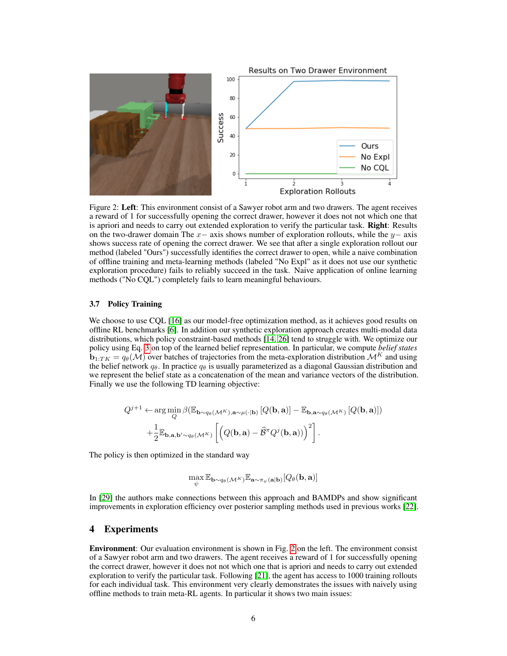

<span id="page-5-0"></span>Figure 2: Left: This environment consist of a Sawyer robot arm and two drawers. The agent receives a reward of 1 for successfully opening the correct drawer, however it does not not which one that is apriori and needs to carry out extended exploration to verify the particular task. **Right**: Results on the two-drawer domain The  $x-$  axis shows number of exploration rollouts, while the  $y-$  axis shows success rate of opening the correct drawer. We see that after a single exploration rollout our method (labeled "Ours") successfully identifies the correct drawer to open, while a naive combination of offline training and meta-learning methods (labeled "No Expl" as it does not use our synthetic exploration procedure) fails to reliably succeed in the task. Naive application of online learning methods ("No CQL") completely fails to learn meaningful behaviours.

# 3.7 Policy Training

We choose to use CQL [\[16\]](#page-7-16) as our model-free optimization method, as it achieves good results on offline RL benchmarks [\[6\]](#page-6-8). In addition our synthetic exploration approach creates multi-modal data distributions, which policy constraint-based methods [\[14,](#page-7-17) [26\]](#page-7-18) tend to struggle with. We optimize our policy using Eq. [3](#page-3-0) on top of the learned belief representation. In particular, we compute *belief states*  $\mathbf{b}_{1:TK} = q_{\theta}(\mathcal{M})$  over batches of trajectories from the meta-exploration distribution  $\mathcal{M}^K$  and using the belief network  $q_{\theta}$ . In practice  $q_{\theta}$  is usually parameterized as a diagonal Gaussian distribution and we represent the belief state as a concatenation of the mean and variance vectors of the distribution. Finally we use the following TD learning objective:

$$
Q^{j+1} \leftarrow \arg\min_{Q} \beta \left( \mathbb{E}_{\mathbf{b} \sim q_{\theta}(\mathcal{M}^{K}), \mathbf{a} \sim \mu(\cdot | \mathbf{b})} \left[ Q(\mathbf{b}, \mathbf{a}) \right] - \mathbb{E}_{\mathbf{b}, \mathbf{a} \sim q_{\theta}(\mathcal{M}^{K})} \left[ Q(\mathbf{b}, \mathbf{a}) \right] \right) + \frac{1}{2} \mathbb{E}_{\mathbf{b}, \mathbf{a}, \mathbf{b}' \sim q_{\theta}(\mathcal{M}^{K})} \left[ \left( Q(\mathbf{b}, \mathbf{a}) - \widehat{\mathcal{B}}^{\pi} Q^{j}(\mathbf{b}, \mathbf{a}) \right) \right)^{2} \right].
$$

The policy is then optimized in the standard way

$$
\max_{\boldsymbol{\psi}} \mathbb{E}_{\mathbf{b} \sim q_{\theta}(\mathcal{M}^K)} \mathbb{E}_{\mathbf{a} \sim \pi_{\boldsymbol{\psi}}(\mathbf{a}|\mathbf{b})} [Q_{\theta}(\mathbf{b}, \mathbf{a})]
$$

In [\[29\]](#page-7-4) the authors make connections between this approach and BAMDPs and show significant improvements in exploration efficiency over posterior sampling methods used in previous works [\[22\]](#page-7-2).

# 4 Experiments

Environment: Our evaluation environment is shown in Fig. [2](#page-5-0) on the left. The environment consist of a Sawyer robot arm and two drawers. The agent receives a reward of 1 for successfully opening the correct drawer, however it does not not which one that is apriori and needs to carry out extended exploration to verify the particular task. Following [\[21\]](#page-7-6), the agent has access to 1000 training rollouts for each individual task. This environment very clearly demonstrates the issues with naively using offline methods to train meta-RL agents. In particular it shows two main issues: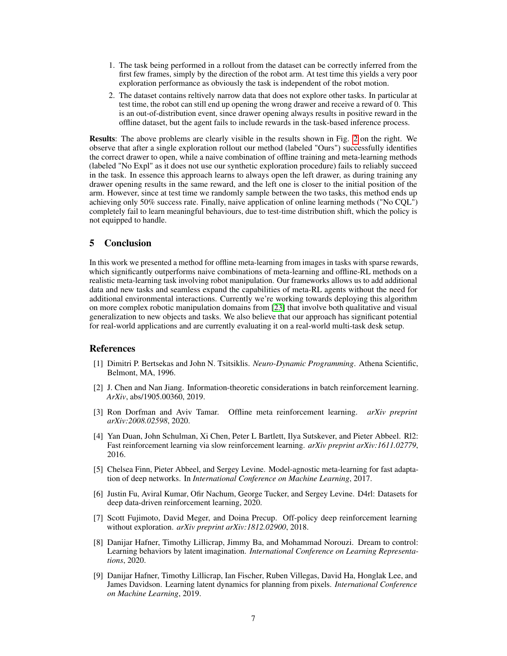- 1. The task being performed in a rollout from the dataset can be correctly inferred from the first few frames, simply by the direction of the robot arm. At test time this yields a very poor exploration performance as obviously the task is independent of the robot motion.
- 2. The dataset contains reltively narrow data that does not explore other tasks. In particular at test time, the robot can still end up opening the wrong drawer and receive a reward of 0. This is an out-of-distribution event, since drawer opening always results in positive reward in the offline dataset, but the agent fails to include rewards in the task-based inference process.

Results: The above problems are clearly visible in the results shown in Fig. [2](#page-5-0) on the right. We observe that after a single exploration rollout our method (labeled "Ours") successfully identifies the correct drawer to open, while a naive combination of offline training and meta-learning methods (labeled "No Expl" as it does not use our synthetic exploration procedure) fails to reliably succeed in the task. In essence this approach learns to always open the left drawer, as during training any drawer opening results in the same reward, and the left one is closer to the initial position of the arm. However, since at test time we randomly sample between the two tasks, this method ends up achieving only 50% success rate. Finally, naive application of online learning methods ("No CQL") completely fail to learn meaningful behaviours, due to test-time distribution shift, which the policy is not equipped to handle.

## 5 Conclusion

In this work we presented a method for offline meta-learning from images in tasks with sparse rewards, which significantly outperforms naive combinations of meta-learning and offline-RL methods on a realistic meta-learning task involving robot manipulation. Our frameworks allows us to add additional data and new tasks and seamless expand the capabilities of meta-RL agents without the need for additional environmental interactions. Currently we're working towards deploying this algorithm on more complex robotic manipulation domains from [\[23\]](#page-7-19) that involve both qualitative and visual generalization to new objects and tasks. We also believe that our approach has significant potential for real-world applications and are currently evaluating it on a real-world multi-task desk setup.

## References

- <span id="page-6-6"></span>[1] Dimitri P. Bertsekas and John N. Tsitsiklis. *Neuro-Dynamic Programming*. Athena Scientific, Belmont, MA, 1996.
- <span id="page-6-5"></span>[2] J. Chen and Nan Jiang. Information-theoretic considerations in batch reinforcement learning. *ArXiv*, abs/1905.00360, 2019.
- <span id="page-6-0"></span>[3] Ron Dorfman and Aviv Tamar. Offline meta reinforcement learning. *arXiv preprint arXiv:2008.02598*, 2020.
- <span id="page-6-1"></span>[4] Yan Duan, John Schulman, Xi Chen, Peter L Bartlett, Ilya Sutskever, and Pieter Abbeel. Rl2: Fast reinforcement learning via slow reinforcement learning. *arXiv preprint arXiv:1611.02779*, 2016.
- <span id="page-6-2"></span>[5] Chelsea Finn, Pieter Abbeel, and Sergey Levine. Model-agnostic meta-learning for fast adaptation of deep networks. In *International Conference on Machine Learning*, 2017.
- <span id="page-6-8"></span>[6] Justin Fu, Aviral Kumar, Ofir Nachum, George Tucker, and Sergey Levine. D4rl: Datasets for deep data-driven reinforcement learning, 2020.
- <span id="page-6-7"></span>[7] Scott Fujimoto, David Meger, and Doina Precup. Off-policy deep reinforcement learning without exploration. *arXiv preprint arXiv:1812.02900*, 2018.
- <span id="page-6-4"></span>[8] Danijar Hafner, Timothy Lillicrap, Jimmy Ba, and Mohammad Norouzi. Dream to control: Learning behaviors by latent imagination. *International Conference on Learning Representations*, 2020.
- <span id="page-6-3"></span>[9] Danijar Hafner, Timothy Lillicrap, Ian Fischer, Ruben Villegas, David Ha, Honglak Lee, and James Davidson. Learning latent dynamics for planning from pixels. *International Conference on Machine Learning*, 2019.